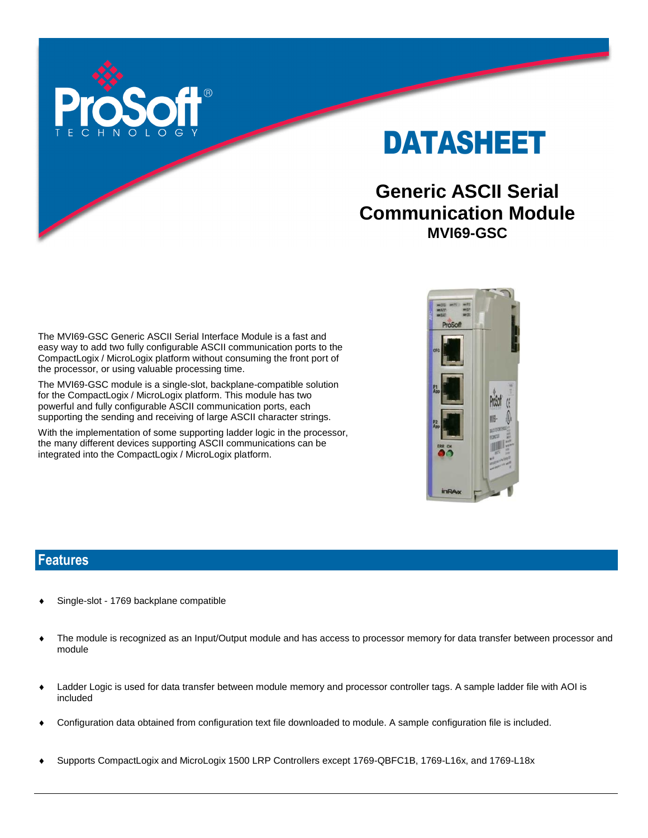

DATASHEET

# **Generic ASCII Serial Communication Module MVI69-GSC**

The MVI69-GSC Generic ASCII Serial Interface Module is a fast and easy way to add two fully configurable ASCII communication ports to the CompactLogix / MicroLogix platform without consuming the front port of the processor, or using valuable processing time.

The MVI69-GSC module is a single-slot, backplane-compatible solution for the CompactLogix / MicroLogix platform. This module has two powerful and fully configurable ASCII communication ports, each supporting the sending and receiving of large ASCII character strings.

With the implementation of some supporting ladder logic in the processor, the many different devices supporting ASCII communications can be integrated into the CompactLogix / MicroLogix platform.



#### **Features**

- Single-slot 1769 backplane compatible
- The module is recognized as an Input/Output module and has access to processor memory for data transfer between processor and module
- Ladder Logic is used for data transfer between module memory and processor controller tags. A sample ladder file with AOI is included
- Configuration data obtained from configuration text file downloaded to module. A sample configuration file is included.
- Supports CompactLogix and MicroLogix 1500 LRP Controllers except 1769-QBFC1B, 1769-L16x, and 1769-L18x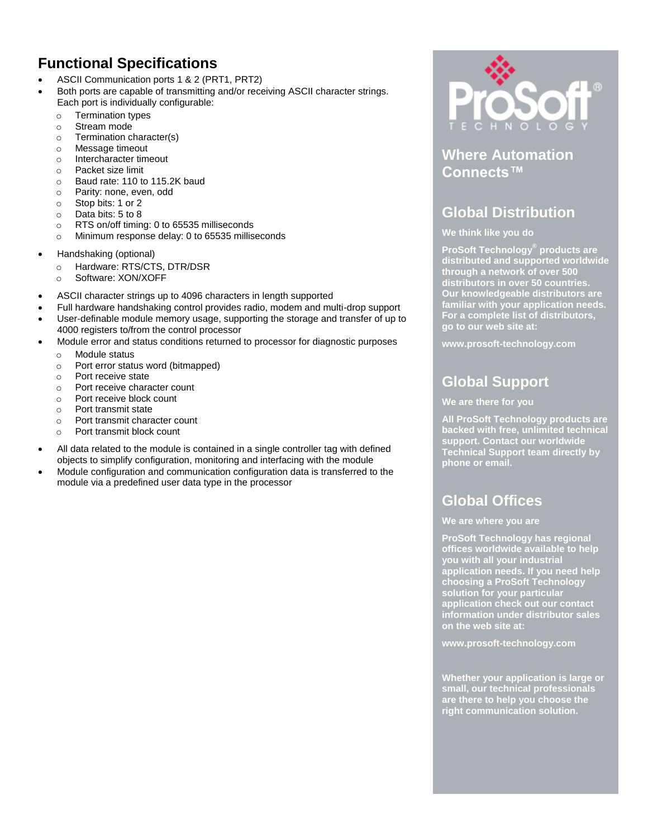## **Functional Specifications**

- ASCII Communication ports 1 & 2 (PRT1, PRT2)
- Both ports are capable of transmitting and/or receiving ASCII character strings. Each port is individually configurable:
	- o Termination types
	- o Stream mode
	- o Termination character(s)
	- o Message timeout
	- o Intercharacter timeout
	- o Packet size limit
	- o Baud rate: 110 to 115.2K baud
	- o Parity: none, even, odd
	- o Stop bits: 1 or 2
	- o Data bits: 5 to 8
	- o RTS on/off timing: 0 to 65535 milliseconds
	- o Minimum response delay: 0 to 65535 milliseconds
- Handshaking (optional)
	- o Hardware: RTS/CTS, DTR/DSR
	- o Software: XON/XOFF
- ASCII character strings up to 4096 characters in length supported
- Full hardware handshaking control provides radio, modem and multi-drop support
- User-definable module memory usage, supporting the storage and transfer of up to 4000 registers to/from the control processor
- Module error and status conditions returned to processor for diagnostic purposes
	- o Module status
	- o Port error status word (bitmapped)
	- o Port receive state
	- o Port receive character count
	- o Port receive block count
	- o Port transmit state
	- o Port transmit character count
	- o Port transmit block count
- All data related to the module is contained in a single controller tag with defined objects to simplify configuration, monitoring and interfacing with the module
- Module configuration and communication configuration data is transferred to the module via a predefined user data type in the processor



### **Where Automation Connects™**

## **Global Distribution**

#### **We think like you do**

**ProSoft Technology® products are distributed and supported worldwide through a network of over 500 distributors in over 50 countries. Our knowledgeable distributors are familiar with your application needs. For a complete list of distributors, go to our web site at:**

**www.prosoft-technology.com**

# **Global Support**

#### **We are there for you**

**All ProSoft Technology products are backed with free, unlimited technical support. Contact our worldwide Technical Support team directly by phone or email.**

## **Global Offices**

#### **We are where you are**

**ProSoft Technology has regional offices worldwide available to help you with all your industrial application needs. If you need help choosing a ProSoft Technology solution for your particular application check out our contact information under distributor sales on the web site at:**

**www.prosoft-technology.com**

**Whether your application is large or small, our technical professionals are there to help you choose the right communication solution.**